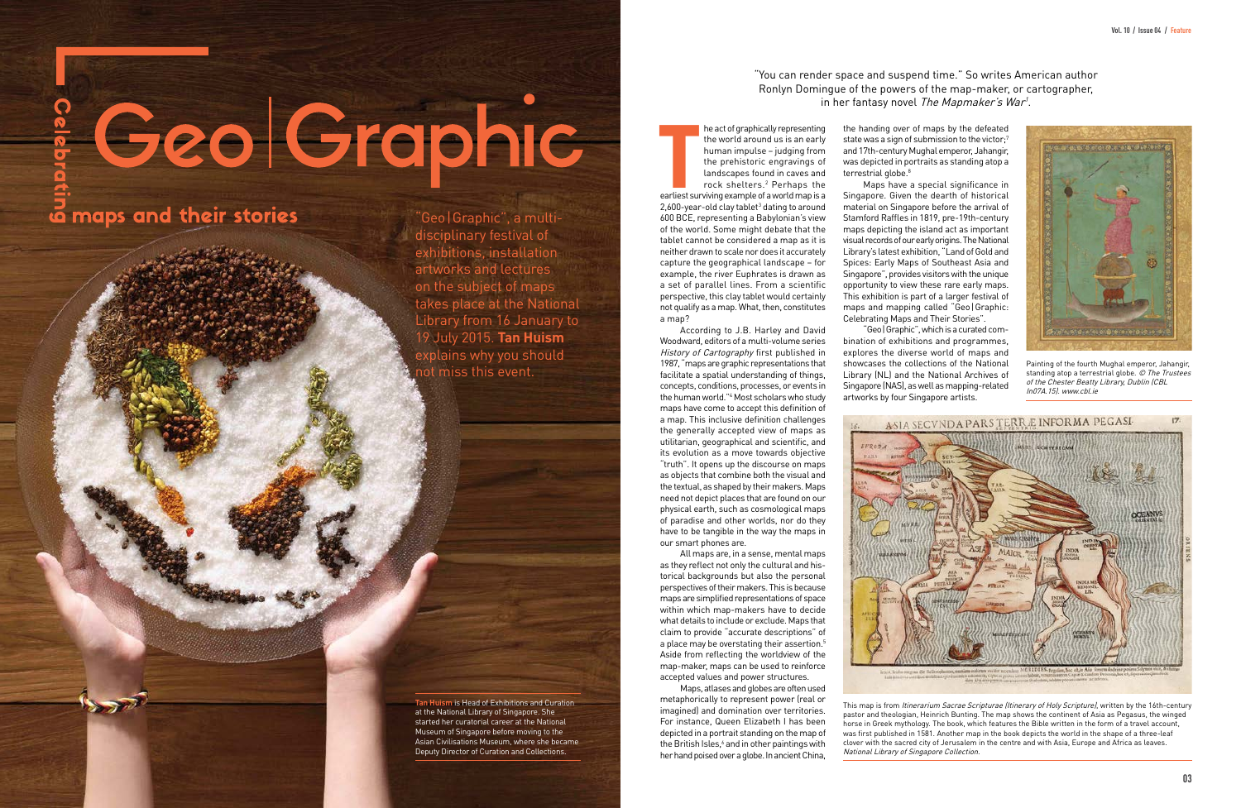# & Geol Graphic

# ia maps and their stories

"Geo|Graphic", a multidisciplinary festival of exhibitions, installation artworks and lectures on the subject of maps takes place at the National Library from 16 January to 19 July 2015. **Tan Huism** explains why you should not miss this event.

## "You can render space and suspend time." So writes American author Ronlyn Domingue of the powers of the map-maker, or cartographer, in her fantasy novel The Mapmaker's War<sup>1</sup>.

The act of graphically representing<br>the world around us is an early<br>human impulse – judging from<br>the prehistoric engravings of<br>landscapes found in caves and<br>rock shelters.<sup>2</sup> Perhaps the<br>earliest surviving example of a wor he act of graphically representing the world around us is an early human impulse – judging from the prehistoric engravings of landscapes found in caves and rock shelters.2 Perhaps the

 $2,600$ -year-old clay tablet<sup>3</sup> dating to around 600 BCE, representing a Babylonian's view of the world. Some might debate that the tablet cannot be considered a map as it is neither drawn to scale nor does it accurately capture the geographical landscape – for example, the river Euphrates is drawn as a set of parallel lines. From a scientific perspective, this clay tablet would certainly not qualify as a map. What, then, constitutes a map?

According to J.B. Harley and David Woodward, editors of a multi-volume series History of Cartography first published in 1987, "maps are graphic representations that facilitate a spatial understanding of things, concepts, conditions, processes, or events in the human world."4 Most scholars who study maps have come to accept this definition of a map. This inclusive definition challenges the generally accepted view of maps as utilitarian, geographical and scientific, and its evolution as a move towards objective "truth". It opens up the discourse on maps as objects that combine both the visual and the textual, as shaped by their makers. Maps need not depict places that are found on our physical earth, such as cosmological maps of paradise and other worlds, nor do they have to be tangible in the way the maps in our smart phones are.

All maps are, in a sense, mental maps as they reflect not only the cultural and historical backgrounds but also the personal perspectives of their makers. This is because maps are simplified representations of space within which map-makers have to decide what details to include or exclude. Maps that claim to provide "accurate descriptions" of a place may be overstating their assertion.<sup>5</sup> Aside from reflecting the worldview of the map-maker, maps can be used to reinforce accepted values and power structures.

This map is from *Itinerarium Sacrae Scripturae (Itinerary of Holy Scripture)*, written by the 16th-century pastor and theologian, Heinrich Bunting. The map shows the continent of Asia as Pegasus, the winged horse in Greek mythology. The book, which features the Bible written in the form of a travel account, was first published in 1581. Another map in the book depicts the world in the shape of a three-leaf clover with the sacred city of Jerusalem in the centre and with Asia, Europe and Africa as leaves.

Maps, atlases and globes are often used metaphorically to represent power (real or imagined) and domination over territories. For instance, Queen Elizabeth I has been depicted in a portrait standing on the map of the British Isles,<sup>6</sup> and in other paintings with her hand poised over a globe. In ancient China,

terrestrial globe.<sup>8</sup>

the handing over of maps by the defeated state was a sign of submission to the victor:<sup>7</sup> and 17th-century Mughal emperor, Jahangir, was depicted in portraits as standing atop a

Maps have a special significance in Singapore. Given the dearth of historical material on Singapore before the arrival of Stamford Raffles in 1819, pre-19th-century maps depicting the island act as important visual records of our early origins. The National Library's latest exhibition, "Land of Gold and Spices: Early Maps of Southeast Asia and Singapore", provides visitors with the unique opportunity to view these rare early maps. This exhibition is part of a larger festival of maps and mapping called "Geo|Graphic: Celebrating Maps and Their Stories".

"Geo|Graphic", which is a curated combination of exhibitions and programmes, explores the diverse world of maps and showcases the collections of the National Library (NL) and the National Archives of Singapore (NAS), as well as mapping-related artworks by four Singapore artists.



**Tan Huism** is Head of Exhibitions and Curation at the National Library of Singapore. She started her curatorial career at the National Museum of Singapore before moving to the Asian Civilisations Museum, where she became Deputy Director of Curation and Collections.

National Library of Singapore Collection.



Painting of the fourth Mughal emperor, Jahangir, standing atop a terrestrial globe. © The Trustees of the Chester Beatty Library, Dublin (CBL In07A.15). www.cbl.ie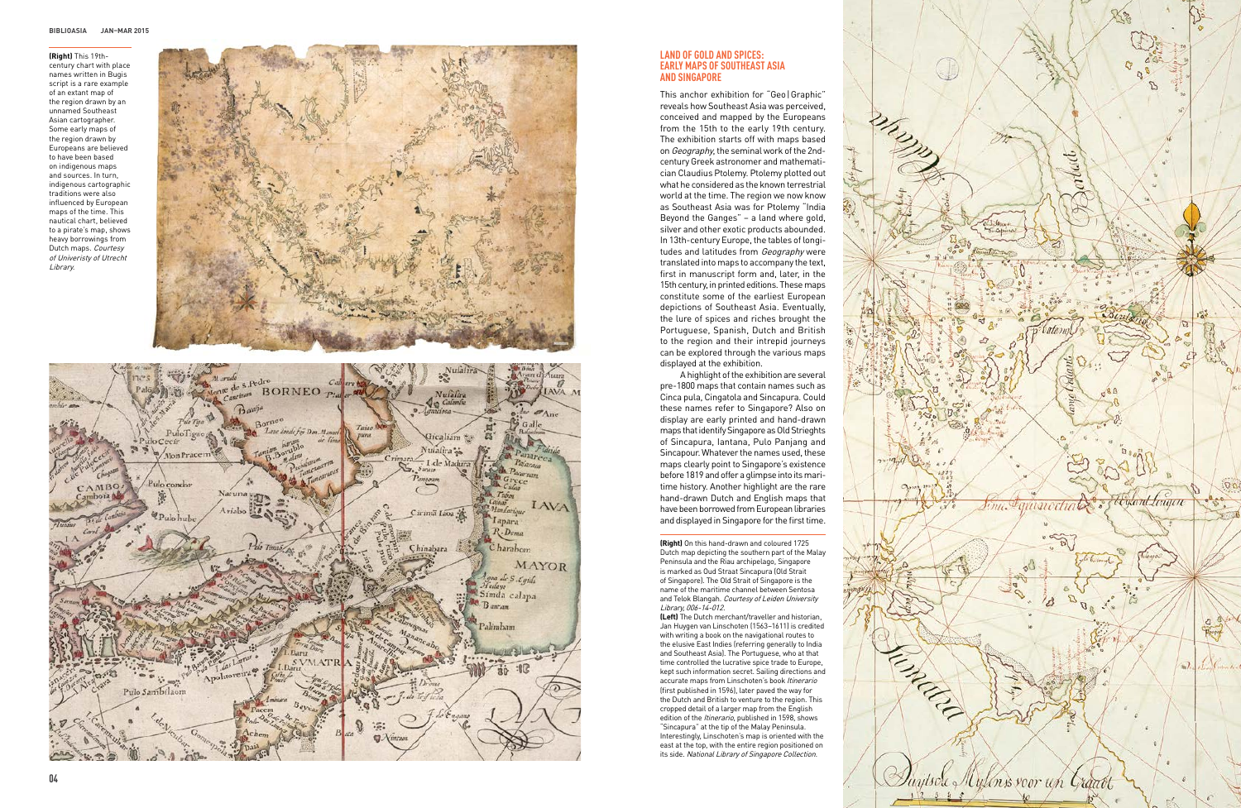**(Right)** On this hand-drawn and coloured 1725 Dutch map depicting the southern part of the Malay Peninsula and the Riau archipelago, Singapore is marked as Oud Straat Sincapura (Old Strait of Singapore). The Old Strait of Singapore is the name of the maritime channel between Sentosa and Telok Blangah. Courtesy of Leiden University Library, 006-14-012.

**(Left)** The Dutch merchant/traveller and historian, Jan Huygen van Linschoten (1563–1611) is credited with writing a book on the navigational routes to the elusive East Indies (referring generally to India and Southeast Asia). The Portuguese, who at that time controlled the lucrative spice trade to Europe, kept such information secret. Sailing directions and accurate maps from Linschoten's book Itinerario (first published in 1596), later paved the way for the Dutch and British to venture to the region. This cropped detail of a larger map from the English edition of the Itinerario, published in 1598, shows "Sincapura" at the tip of the Malay Peninsula. Interestingly, Linschoten's map is oriented with the east at the top, with the entire region positioned on its side. National Library of Singapore Collection.

#### **LAND OF GOLD AND SPICES: EARLY MAPS OF SOUTHEAST ASIA and Singapore**

**(Right)** This 19thcentury chart with place names written in Bugis script is a rare example of an extant map of the region drawn by an unnamed Southeast Asian cartographer. Some early maps of the region drawn by Europeans are believed to have been based on indigenous maps and sources. In turn, indigenous cartographic traditions were also influenced by European maps of the time. This nautical chart, believed to a pirate's map, shows heavy borrowings from Dutch maps. Courtesy of Univeristy of Utrecht Library.





This anchor exhibition for "Geo|Graphic" reveals how Southeast Asia was perceived, conceived and mapped by the Europeans from the 15th to the early 19th century. The exhibition starts off with maps based on Geography, the seminal work of the 2ndcentury Greek astronomer and mathematician Claudius Ptolemy. Ptolemy plotted out what he considered as the known terrestrial world at the time. The region we now know as Southeast Asia was for Ptolemy "India Beyond the Ganges" – a land where gold, silver and other exotic products abounded. In 13th-century Europe, the tables of longi tudes and latitudes from Geography were translated into maps to accompany the text, first in manuscript form and, later, in the 15th century, in printed editions. These maps constitute some of the earliest European depictions of Southeast Asia. Eventually, the lure of spices and riches brought the Portuguese, Spanish, Dutch and British to the region and their intrepid journeys can be explored through the various maps displayed at the exhibition.

A highlight of the exhibition are several pre-1800 maps that contain names such as Cinca pula, Cingatola and Sincapura. Could these names refer to Singapore? Also on display are early printed and hand-drawn maps that identify Singapore as Old Strieghts of Sincapura, Iantana, Pulo Panjang and Sincapour. Whatever the names used, these maps clearly point to Singapore's existence before 1819 and offer a glimpse into its mari time history. Another highlight are the rare hand-drawn Dutch and English maps that have been borrowed from European libraries and displayed in Singapore for the first time.

Eyand Linger unu. quatoa Duytsch Mylenss voor un Graatt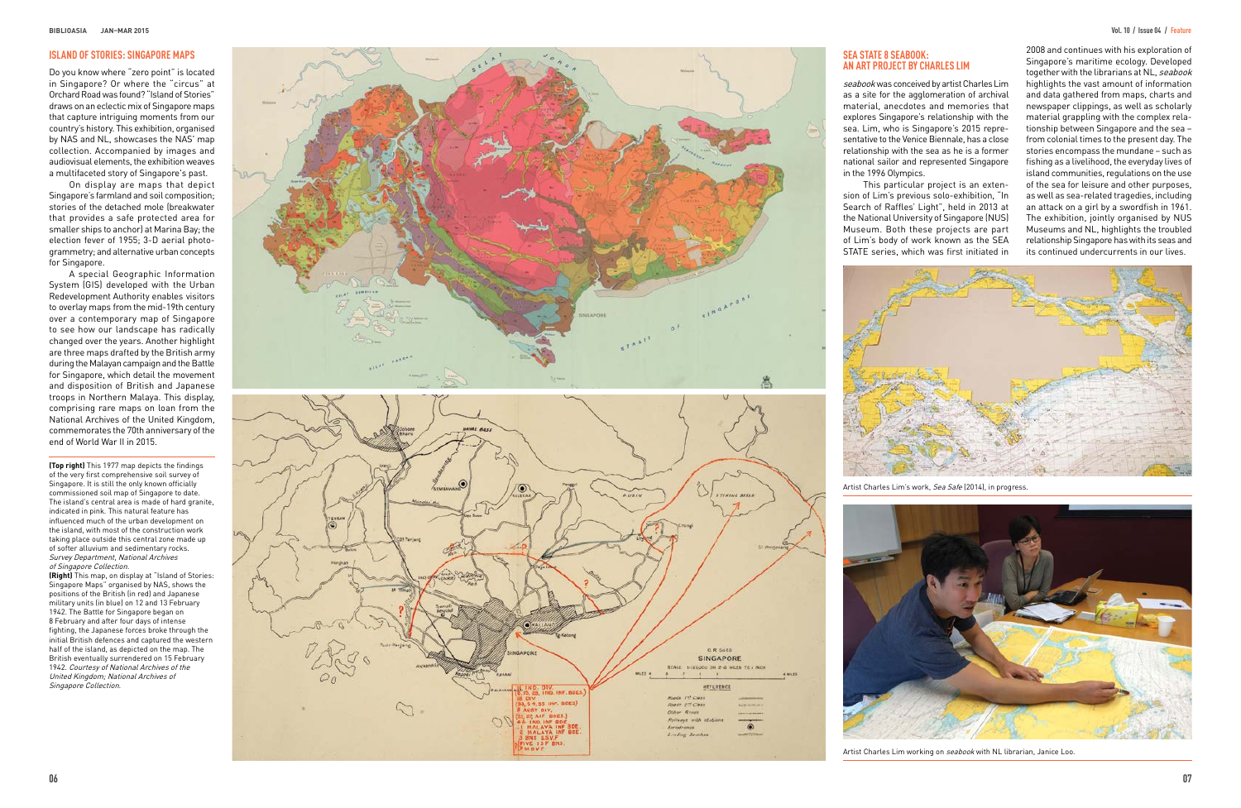**(Top right)** This 1977 map depicts the findings of the very first comprehensive soil survey of Singapore. It is still the only known officially commissioned soil map of Singapore to date. The island's central area is made of hard granite, indicated in pink. This natural feature has influenced much of the urban development on the island, with most of the construction work taking place outside this central zone made up of softer alluvium and sedimentary rocks. Survey Department, National Archives of Singapore Collection.

seabook was conceived by artist Charles Lim as a site for the agglomeration of archival material, anecdotes and memories that explores Singapore's relationship with the sea. Lim, who is Singapore's 2015 repre sentative to the Venice Biennale, has a close relationship with the sea as he is a former national sailor and represented Singapore in the 1996 Olympics.

**(Right)** This map, on display at "Island of Stories: Singapore Maps" organised by NAS, shows the positions of the British (in red) and Japanese military units (in blue) on 12 and 13 February 1942. The Battle for Singapore began on 8 February and after four days of intense fighting, the Japanese forces broke through the initial British defences and captured the western half of the island, as depicted on the map. The British eventually surrendered on 15 February 1942. Courtesy of National Archives of the United Kingdom; National Archives of Singapore Collection.



### **S E A S TATE 8 s eabook: An Art Project by C h a r l e s Li m**

This particular project is an exten sion of Lim's previous solo-exhibition, "In Search of Raffles' Light", held in 2013 at the National University of Singapore (NUS) Museum. Both these projects are part of Lim's body of work known as the SEA STATE series, which was first initiated in





2008 and continues with his exploration of Singapore's maritime ecology. Developed together with the librarians at NL, seabook highlights the vast amount of information and data gathered from maps, charts and newspaper clippings, as well as scholarly material grappling with the complex rela tionship between Singapore and the sea – from colonial times to the present day. The stories encompass the mundane – such as fishing as a livelihood, the everyday lives of island communities, regulations on the use of the sea for leisure and other purposes, as well as sea-related tragedies, including an attack on a girl by a swordfish in 1961. The exhibition, jointly organised by NUS Museums and NL, highlights the troubled relationship Singapore has with its seas and its continued undercurrents in our lives.

Artist Charles Lim's work, Sea Safe (2014), in progress.



Artist Charles Lim working on seabook with NL librarian, Janice Loo.

Do you know where "zero point" is located in Singapore? Or where the "circus" at Orchard Road was found? "Island of Stories" draws on an eclectic mix of Singapore maps that capture intriguing moments from our country's history. This exhibition, organised by NAS and NL, showcases the NAS' map collection. Accompanied by images and audiovisual elements, the exhibition weaves a multifaceted story of Singapore's past.

On display are maps that depict Singapore's farmland and soil composition; stories of the detached mole (breakwater that provides a safe protected area for smaller ships to anchor) at Marina Bay; the election fever of 1955; 3-D aerial photo grammetry; and alternative urban concepts for Singapore.

A special Geographic Information System (GIS) develope d with the Urban Redevelopment Authority enables visitors to overlay maps from th e mid-19t h century over a contemporary map of Singapore to see how our landscape has radically changed over the years. Another highlight are three maps drafted by the British army during the Malayan campaign and the Battle for Singapore, which detail the movement and disposition of British and Japanese troops in Northern Malaya. This display, comprising rare maps on loan from the National Archives of the United Kingdom, commemorates the 70th anniversary of the end of World War II in 2015.

#### **ISLAND OF STORIES: SINGAPORE MAPS**